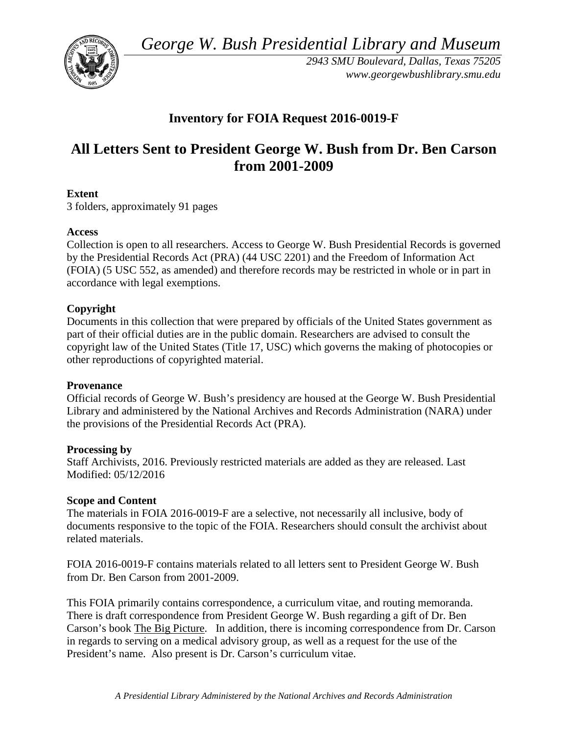*George W. Bush Presidential Library and Museum* 



*2943 SMU Boulevard, Dallas, Texas 75205 <www.georgewbushlibrary.smu.edu>*

# **Inventory for FOIA Request 2016-0019-F**

# **All Letters Sent to President George W. Bush from Dr. Ben Carson from 2001-2009**

# **Extent**

3 folders, approximately 91 pages

# **Access**

Collection is open to all researchers. Access to George W. Bush Presidential Records is governed by the Presidential Records Act (PRA) (44 USC 2201) and the Freedom of Information Act (FOIA) (5 USC 552, as amended) and therefore records may be restricted in whole or in part in accordance with legal exemptions.

# **Copyright**

Documents in this collection that were prepared by officials of the United States government as part of their official duties are in the public domain. Researchers are advised to consult the copyright law of the United States (Title 17, USC) which governs the making of photocopies or other reproductions of copyrighted material.

#### **Provenance**

Official records of George W. Bush's presidency are housed at the George W. Bush Presidential Library and administered by the National Archives and Records Administration (NARA) under the provisions of the Presidential Records Act (PRA).

#### **Processing by**

Staff Archivists, 2016. Previously restricted materials are added as they are released. Last Modified: 05/12/2016

#### **Scope and Content**

The materials in FOIA 2016-0019-F are a selective, not necessarily all inclusive, body of documents responsive to the topic of the FOIA. Researchers should consult the archivist about related materials.

FOIA 2016-0019-F contains materials related to all letters sent to President George W. Bush from Dr. Ben Carson from 2001-2009.

This FOIA primarily contains correspondence, a curriculum vitae, and routing memoranda. There is draft correspondence from President George W. Bush regarding a gift of Dr. Ben Carson's book The Big Picture. In addition, there is incoming correspondence from Dr. Carson in regards to serving on a medical advisory group, as well as a request for the use of the President's name. Also present is Dr. Carson's curriculum vitae.